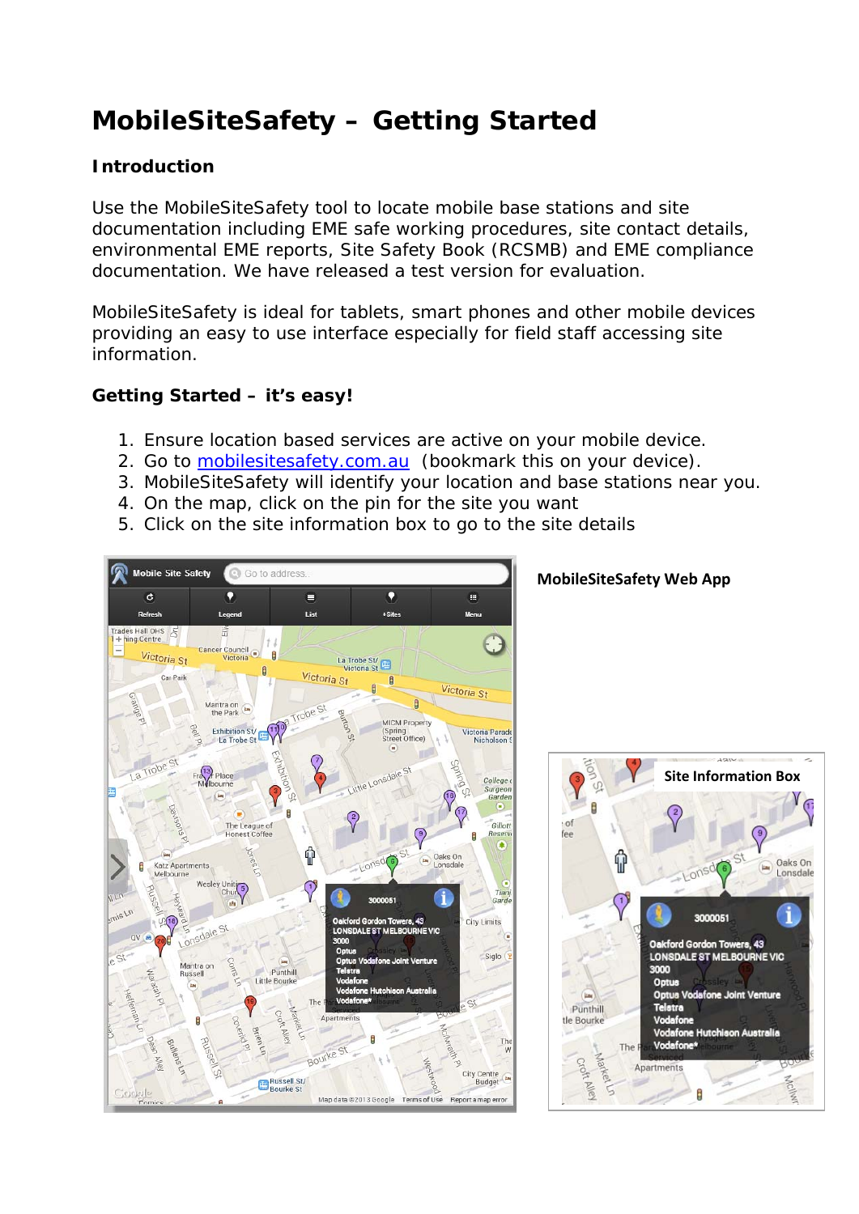# **MobileSiteSafety – Getting Started**

### **Introduction**

Use the MobileSiteSafety tool to locate mobile base stations and site documentation including EME safe working procedures, site contact details, environmental EME reports, Site Safety Book (RCSMB) and EME compliance documentation. We have released a test version for evaluation.

MobileSiteSafety is ideal for tablets, smart phones and other mobile devices providing an easy to use interface especially for field staff accessing site information.

### **Getting Started – it's easy!**

- 1. Ensure location based services are active on your mobile device.
- 2. Go to mobilesitesafety.com.au (bookmark this on your device).
- 3. MobileSiteSafety will identify your location and base stations near you.
- 4. On the map, click on the pin for the site you want
- 5. Click on the site information box to go to the site details



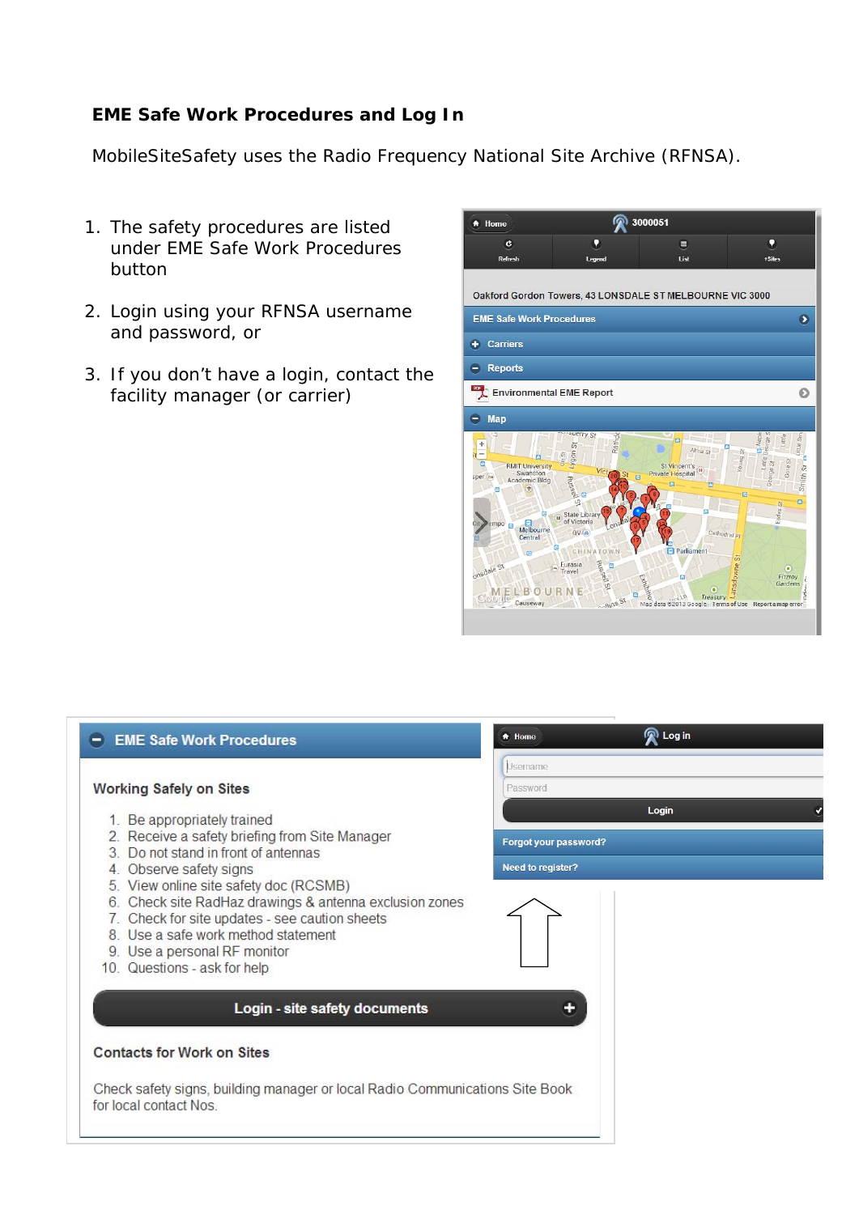#### **EME Safe Work Procedures and Log In**

MobileSiteSafety uses the Radio Frequency National Site Archive (RFNSA).

- 1. The safety procedures are listed under EME Safe Work Procedures button
- 2. Login using your RFNSA username and password, or
- 3. If you don't have a login, contact the facility manager (or carrier)